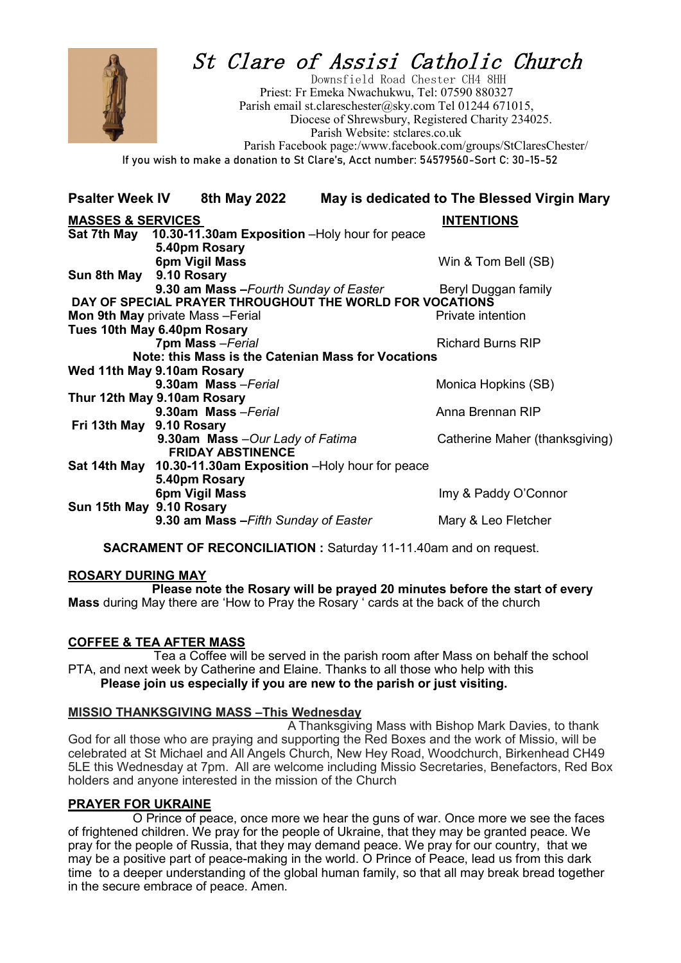

# St Clare of Assisi Catholic Church

 Downsfield Road Chester CH4 8HH Priest: Fr Emeka Nwachukwu, Tel: 07590 880327 Parish email st.clareschester@sky.com Tel 01244 671015, Diocese of Shrewsbury, Registered Charity 234025. Parish Website: stclares.co.uk Parish Facebook page:/www.facebook.com/groups/StClaresChester/ **If you wish to make a donation to St Clare's, Acct number: 54579560-Sort C: 30-15-52**

**Psalter Week IV 8th May 2022 May is dedicated to The Blessed Virgin Mary**

| <b>MASSES &amp; SERVICES</b>                                          |                                                                                                    | <b>INTENTIONS</b>              |
|-----------------------------------------------------------------------|----------------------------------------------------------------------------------------------------|--------------------------------|
|                                                                       | Sat 7th May 10.30-11.30am Exposition -Holy hour for peace                                          |                                |
|                                                                       | 5.40pm Rosary                                                                                      |                                |
|                                                                       | 6pm Vigil Mass                                                                                     | Win & Tom Bell (SB)            |
| Sun 8th May 9.10 Rosary                                               |                                                                                                    |                                |
|                                                                       | 9.30 am Mass - Fourth Sunday of Easter<br>DAY OF SPECIAL PRAYER THROUGHOUT THE WORLD FOR VOCATIONS | Beryl Duggan family            |
|                                                                       |                                                                                                    | Private intention              |
| <b>Mon 9th May private Mass-Ferial</b><br>Tues 10th May 6.40pm Rosary |                                                                                                    |                                |
|                                                                       | 7pm Mass - Ferial                                                                                  | <b>Richard Burns RIP</b>       |
| Note: this Mass is the Catenian Mass for Vocations                    |                                                                                                    |                                |
| Wed 11th May 9.10am Rosary                                            |                                                                                                    |                                |
|                                                                       | 9.30am Mass-Ferial                                                                                 | Monica Hopkins (SB)            |
| Thur 12th May 9.10am Rosary                                           |                                                                                                    |                                |
|                                                                       | 9.30am Mass-Ferial                                                                                 | Anna Brennan RIP               |
| Fri 13th May 9.10 Rosary                                              |                                                                                                    |                                |
|                                                                       | 9.30am Mass - Our Lady of Fatima                                                                   | Catherine Maher (thanksgiving) |
|                                                                       | <b>FRIDAY ABSTINENCE</b>                                                                           |                                |
|                                                                       | Sat 14th May 10.30-11.30am Exposition -Holy hour for peace                                         |                                |
|                                                                       | 5.40pm Rosary<br>6pm Vigil Mass                                                                    | Imy & Paddy O'Connor           |
| Sun 15th May 9.10 Rosary                                              |                                                                                                    |                                |
|                                                                       | 9.30 am Mass - Fifth Sunday of Easter                                                              | Mary & Leo Fletcher            |
|                                                                       |                                                                                                    |                                |

**SACRAMENT OF RECONCILIATION :** Saturday 11-11.40am and on request.

#### **ROSARY DURING MAY**

 **Please note the Rosary will be prayed 20 minutes before the start of every Mass** during May there are 'How to Pray the Rosary ' cards at the back of the church

# **COFFEE & TEA AFTER MASS**

 Tea a Coffee will be served in the parish room after Mass on behalf the school PTA, and next week by Catherine and Elaine. Thanks to all those who help with this **Please join us especially if you are new to the parish or just visiting.**

#### **MISSIO THANKSGIVING MASS –This Wednesday**

 A Thanksgiving Mass with Bishop Mark Davies, to thank God for all those who are praying and supporting the Red Boxes and the work of Missio, will be celebrated at St Michael and All Angels Church, New Hey Road, Woodchurch, Birkenhead CH49 5LE this Wednesday at 7pm. All are welcome including Missio Secretaries, Benefactors, Red Box holders and anyone interested in the mission of the Church

#### **PRAYER FOR UKRAINE**

O Prince of peace, once more we hear the guns of war. Once more we see the faces of frightened children. We pray for the people of Ukraine, that they may be granted peace. We pray for the people of Russia, that they may demand peace. We pray for our country, that we may be a positive part of peace-making in the world. O Prince of Peace, lead us from this dark time to a deeper understanding of the global human family, so that all may break bread together in the secure embrace of peace. Amen.